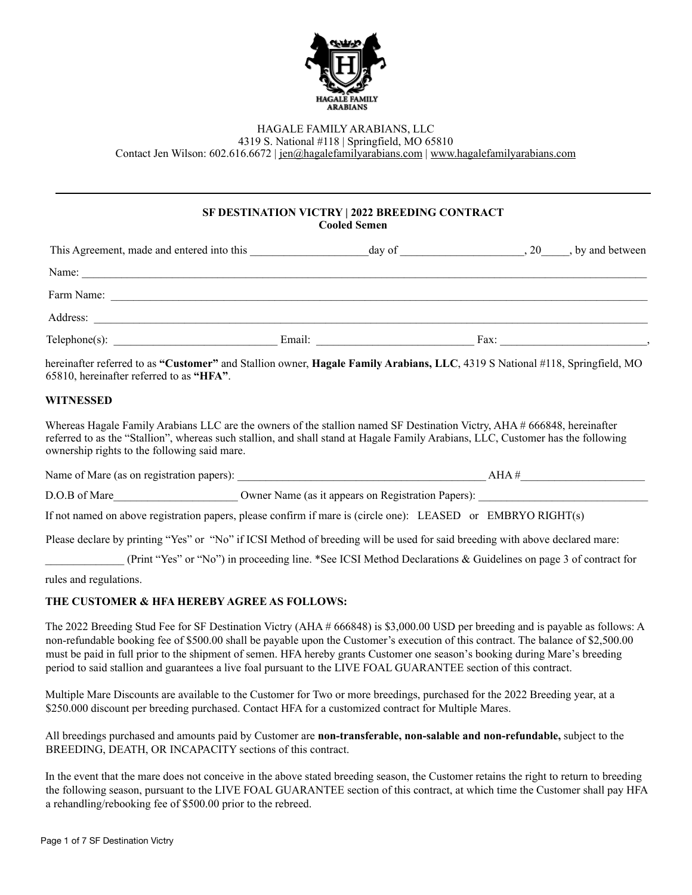

## HAGALE FAMILY ARABIANS, LLC

4319 S. National #118 | Springfield, MO 65810

Contact Jen Wilson: 602.616.6672 | [jen@hagalefamilyarabians.com](mailto:jen@hagalefamilyarabians.com) | [www.hagalefamilyarabians.com](http://www.hagalefamilyarabians.com)

## **SF DESTINATION VICTRY | 2022 BREEDING CONTRACT Cooled Semen**

| This Agreement, made and entered into this |        | day of | 20   | by and between |
|--------------------------------------------|--------|--------|------|----------------|
| Name:                                      |        |        |      |                |
| Farm Name:                                 |        |        |      |                |
| Address:                                   |        |        |      |                |
| $Telephone(s)$ :                           | Email: |        | Fax: |                |

hereinafter referred to as **"Customer"** and Stallion owner, **Hagale Family Arabians, LLC**, 4319 S National #118, Springfield, MO 65810, hereinafter referred to as **"HFA"**.

## **WITNESSED**

Whereas Hagale Family Arabians LLC are the owners of the stallion named SF Destination Victry, AHA # 666848, hereinafter referred to as the "Stallion", whereas such stallion, and shall stand at Hagale Family Arabians, LLC, Customer has the following ownership rights to the following said mare.

Name of Mare (as on registration papers): \_\_\_\_\_\_\_\_\_\_\_\_\_\_\_\_\_\_\_\_\_\_\_\_\_\_\_\_\_\_\_\_\_\_\_\_\_\_\_\_\_\_\_\_ AHA #\_\_\_\_\_\_\_\_\_\_\_\_\_\_\_\_\_\_\_\_\_\_

D.O.B of Mare  $\qquad \qquad \text{Owner Name (as it appears on Registration Papers):}$ 

If not named on above registration papers, please confirm if mare is (circle one): LEASED or EMBRYO RIGHT(s)

Please declare by printing "Yes" or "No" if ICSI Method of breeding will be used for said breeding with above declared mare:

\_\_\_\_\_\_\_\_\_\_\_\_\_\_ (Print "Yes" or "No") in proceeding line. \*See ICSI Method Declarations & Guidelines on page 3 of contract for

rules and regulations.

### **THE CUSTOMER & HFA HEREBY AGREE AS FOLLOWS:**

The 2022 Breeding Stud Fee for SF Destination Victry (AHA # 666848) is \$3,000.00 USD per breeding and is payable as follows: A non-refundable booking fee of \$500.00 shall be payable upon the Customer's execution of this contract. The balance of \$2,500.00 must be paid in full prior to the shipment of semen. HFA hereby grants Customer one season's booking during Mare's breeding period to said stallion and guarantees a live foal pursuant to the LIVE FOAL GUARANTEE section of this contract.

Multiple Mare Discounts are available to the Customer for Two or more breedings, purchased for the 2022 Breeding year, at a \$250.000 discount per breeding purchased. Contact HFA for a customized contract for Multiple Mares.

All breedings purchased and amounts paid by Customer are **non-transferable, non-salable and non-refundable,** subject to the BREEDING, DEATH, OR INCAPACITY sections of this contract.

In the event that the mare does not conceive in the above stated breeding season, the Customer retains the right to return to breeding the following season, pursuant to the LIVE FOAL GUARANTEE section of this contract, at which time the Customer shall pay HFA a rehandling/rebooking fee of \$500.00 prior to the rebreed.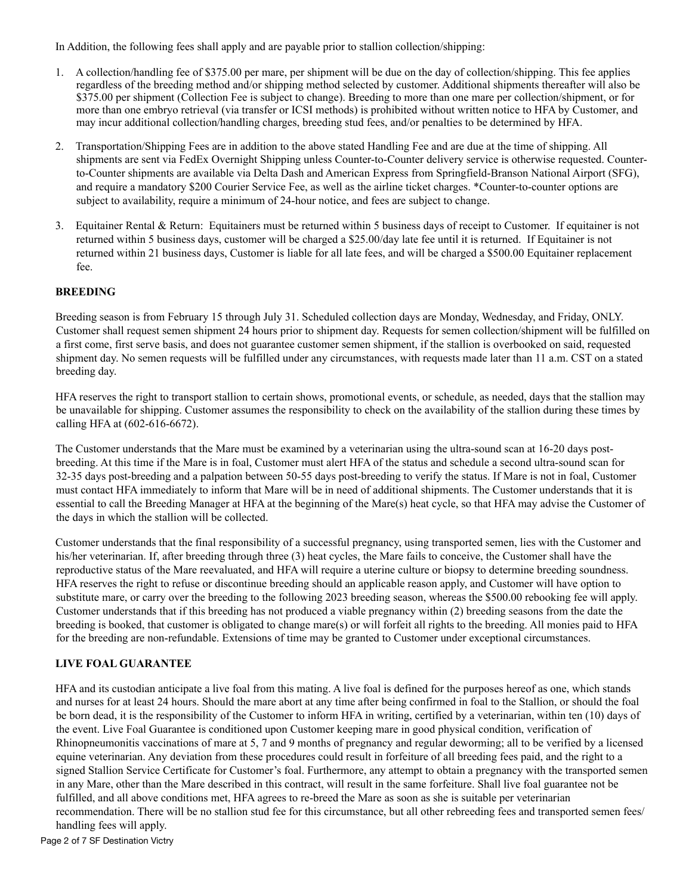In Addition, the following fees shall apply and are payable prior to stallion collection/shipping:

- 1. A collection/handling fee of \$375.00 per mare, per shipment will be due on the day of collection/shipping. This fee applies regardless of the breeding method and/or shipping method selected by customer. Additional shipments thereafter will also be \$375.00 per shipment (Collection Fee is subject to change). Breeding to more than one mare per collection/shipment, or for more than one embryo retrieval (via transfer or ICSI methods) is prohibited without written notice to HFA by Customer, and may incur additional collection/handling charges, breeding stud fees, and/or penalties to be determined by HFA.
- 2. Transportation/Shipping Fees are in addition to the above stated Handling Fee and are due at the time of shipping. All shipments are sent via FedEx Overnight Shipping unless Counter-to-Counter delivery service is otherwise requested. Counterto-Counter shipments are available via Delta Dash and American Express from Springfield-Branson National Airport (SFG), and require a mandatory \$200 Courier Service Fee, as well as the airline ticket charges. \*Counter-to-counter options are subject to availability, require a minimum of 24-hour notice, and fees are subject to change.
- 3. Equitainer Rental & Return: Equitainers must be returned within 5 business days of receipt to Customer. If equitainer is not returned within 5 business days, customer will be charged a \$25.00/day late fee until it is returned. If Equitainer is not returned within 21 business days, Customer is liable for all late fees, and will be charged a \$500.00 Equitainer replacement fee.

## **BREEDING**

Breeding season is from February 15 through July 31. Scheduled collection days are Monday, Wednesday, and Friday, ONLY. Customer shall request semen shipment 24 hours prior to shipment day. Requests for semen collection/shipment will be fulfilled on a first come, first serve basis, and does not guarantee customer semen shipment, if the stallion is overbooked on said, requested shipment day. No semen requests will be fulfilled under any circumstances, with requests made later than 11 a.m. CST on a stated breeding day.

HFA reserves the right to transport stallion to certain shows, promotional events, or schedule, as needed, days that the stallion may be unavailable for shipping. Customer assumes the responsibility to check on the availability of the stallion during these times by calling HFA at (602-616-6672).

The Customer understands that the Mare must be examined by a veterinarian using the ultra-sound scan at 16-20 days postbreeding. At this time if the Mare is in foal, Customer must alert HFA of the status and schedule a second ultra-sound scan for 32-35 days post-breeding and a palpation between 50-55 days post-breeding to verify the status. If Mare is not in foal, Customer must contact HFA immediately to inform that Mare will be in need of additional shipments. The Customer understands that it is essential to call the Breeding Manager at HFA at the beginning of the Mare(s) heat cycle, so that HFA may advise the Customer of the days in which the stallion will be collected.

Customer understands that the final responsibility of a successful pregnancy, using transported semen, lies with the Customer and his/her veterinarian. If, after breeding through three (3) heat cycles, the Mare fails to conceive, the Customer shall have the reproductive status of the Mare reevaluated, and HFA will require a uterine culture or biopsy to determine breeding soundness. HFA reserves the right to refuse or discontinue breeding should an applicable reason apply, and Customer will have option to substitute mare, or carry over the breeding to the following 2023 breeding season, whereas the \$500.00 rebooking fee will apply. Customer understands that if this breeding has not produced a viable pregnancy within (2) breeding seasons from the date the breeding is booked, that customer is obligated to change mare(s) or will forfeit all rights to the breeding. All monies paid to HFA for the breeding are non-refundable. Extensions of time may be granted to Customer under exceptional circumstances.

### **LIVE FOAL GUARANTEE**

HFA and its custodian anticipate a live foal from this mating. A live foal is defined for the purposes hereof as one, which stands and nurses for at least 24 hours. Should the mare abort at any time after being confirmed in foal to the Stallion, or should the foal be born dead, it is the responsibility of the Customer to inform HFA in writing, certified by a veterinarian, within ten (10) days of the event. Live Foal Guarantee is conditioned upon Customer keeping mare in good physical condition, verification of Rhinopneumonitis vaccinations of mare at 5, 7 and 9 months of pregnancy and regular deworming; all to be verified by a licensed equine veterinarian. Any deviation from these procedures could result in forfeiture of all breeding fees paid, and the right to a signed Stallion Service Certificate for Customer's foal. Furthermore, any attempt to obtain a pregnancy with the transported semen in any Mare, other than the Mare described in this contract, will result in the same forfeiture. Shall live foal guarantee not be fulfilled, and all above conditions met, HFA agrees to re-breed the Mare as soon as she is suitable per veterinarian recommendation. There will be no stallion stud fee for this circumstance, but all other rebreeding fees and transported semen fees/ handling fees will apply.

Page 2 of 7 SF Destination Victry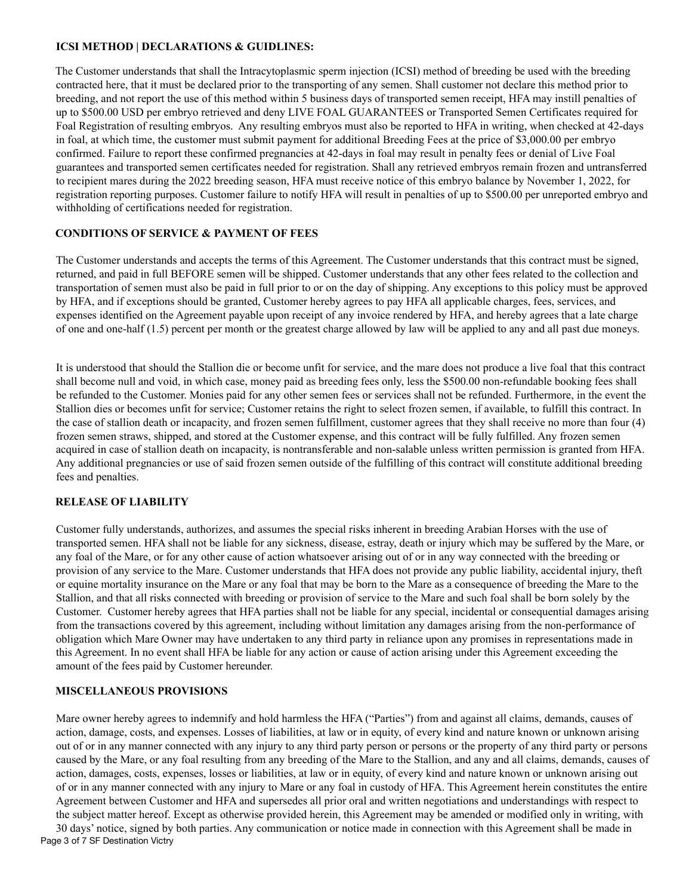### **ICSI METHOD | DECLARATIONS & GUIDLINES:**

The Customer understands that shall the Intracytoplasmic sperm injection (ICSI) method of breeding be used with the breeding contracted here, that it must be declared prior to the transporting of any semen. Shall customer not declare this method prior to breeding, and not report the use of this method within 5 business days of transported semen receipt, HFA may instill penalties of up to \$500.00 USD per embryo retrieved and deny LIVE FOAL GUARANTEES or Transported Semen Certificates required for Foal Registration of resulting embryos. Any resulting embryos must also be reported to HFA in writing, when checked at 42-days in foal, at which time, the customer must submit payment for additional Breeding Fees at the price of \$3,000.00 per embryo confirmed. Failure to report these confirmed pregnancies at 42-days in foal may result in penalty fees or denial of Live Foal guarantees and transported semen certificates needed for registration. Shall any retrieved embryos remain frozen and untransferred to recipient mares during the 2022 breeding season, HFA must receive notice of this embryo balance by November 1, 2022, for registration reporting purposes. Customer failure to notify HFA will result in penalties of up to \$500.00 per unreported embryo and withholding of certifications needed for registration.

## **CONDITIONS OF SERVICE & PAYMENT OF FEES**

The Customer understands and accepts the terms of this Agreement. The Customer understands that this contract must be signed, returned, and paid in full BEFORE semen will be shipped. Customer understands that any other fees related to the collection and transportation of semen must also be paid in full prior to or on the day of shipping. Any exceptions to this policy must be approved by HFA, and if exceptions should be granted, Customer hereby agrees to pay HFA all applicable charges, fees, services, and expenses identified on the Agreement payable upon receipt of any invoice rendered by HFA, and hereby agrees that a late charge of one and one-half (1.5) percent per month or the greatest charge allowed by law will be applied to any and all past due moneys.

It is understood that should the Stallion die or become unfit for service, and the mare does not produce a live foal that this contract shall become null and void, in which case, money paid as breeding fees only, less the \$500.00 non-refundable booking fees shall be refunded to the Customer. Monies paid for any other semen fees or services shall not be refunded. Furthermore, in the event the Stallion dies or becomes unfit for service; Customer retains the right to select frozen semen, if available, to fulfill this contract. In the case of stallion death or incapacity, and frozen semen fulfillment, customer agrees that they shall receive no more than four (4) frozen semen straws, shipped, and stored at the Customer expense, and this contract will be fully fulfilled. Any frozen semen acquired in case of stallion death on incapacity, is nontransferable and non-salable unless written permission is granted from HFA. Any additional pregnancies or use of said frozen semen outside of the fulfilling of this contract will constitute additional breeding fees and penalties.

## **RELEASE OF LIABILITY**

Customer fully understands, authorizes, and assumes the special risks inherent in breeding Arabian Horses with the use of transported semen. HFA shall not be liable for any sickness, disease, estray, death or injury which may be suffered by the Mare, or any foal of the Mare, or for any other cause of action whatsoever arising out of or in any way connected with the breeding or provision of any service to the Mare. Customer understands that HFA does not provide any public liability, accidental injury, theft or equine mortality insurance on the Mare or any foal that may be born to the Mare as a consequence of breeding the Mare to the Stallion, and that all risks connected with breeding or provision of service to the Mare and such foal shall be born solely by the Customer. Customer hereby agrees that HFA parties shall not be liable for any special, incidental or consequential damages arising from the transactions covered by this agreement, including without limitation any damages arising from the non-performance of obligation which Mare Owner may have undertaken to any third party in reliance upon any promises in representations made in this Agreement. In no event shall HFA be liable for any action or cause of action arising under this Agreement exceeding the amount of the fees paid by Customer hereunder.

### **MISCELLANEOUS PROVISIONS**

Mare owner hereby agrees to indemnify and hold harmless the HFA ("Parties") from and against all claims, demands, causes of action, damage, costs, and expenses. Losses of liabilities, at law or in equity, of every kind and nature known or unknown arising out of or in any manner connected with any injury to any third party person or persons or the property of any third party or persons caused by the Mare, or any foal resulting from any breeding of the Mare to the Stallion, and any and all claims, demands, causes of action, damages, costs, expenses, losses or liabilities, at law or in equity, of every kind and nature known or unknown arising out of or in any manner connected with any injury to Mare or any foal in custody of HFA. This Agreement herein constitutes the entire Agreement between Customer and HFA and supersedes all prior oral and written negotiations and understandings with respect to the subject matter hereof. Except as otherwise provided herein, this Agreement may be amended or modified only in writing, with 30 days' notice, signed by both parties. Any communication or notice made in connection with this Agreement shall be made in Page 3 of 7 SF Destination Victry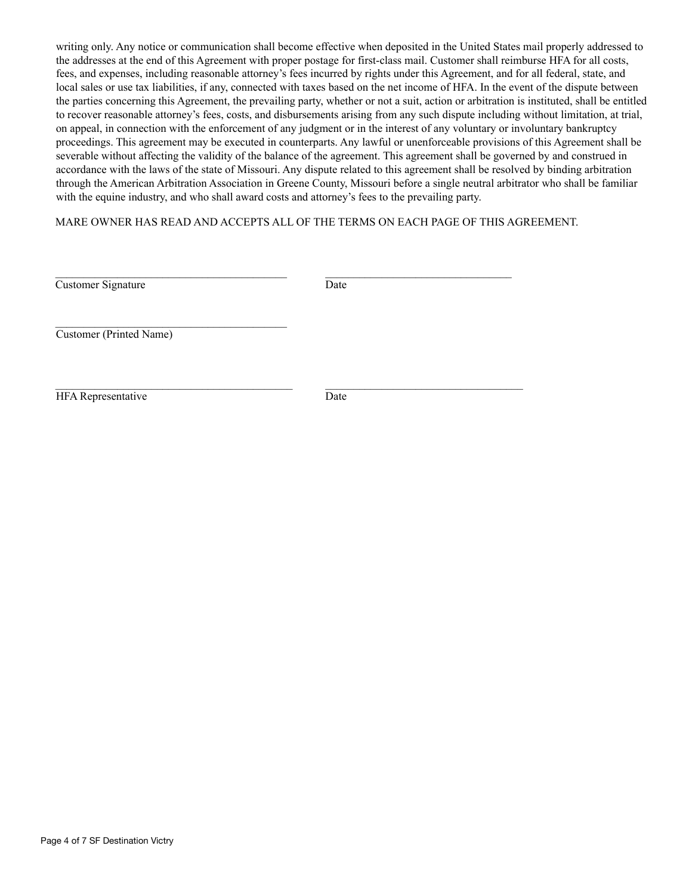writing only. Any notice or communication shall become effective when deposited in the United States mail properly addressed to the addresses at the end of this Agreement with proper postage for first-class mail. Customer shall reimburse HFA for all costs, fees, and expenses, including reasonable attorney's fees incurred by rights under this Agreement, and for all federal, state, and local sales or use tax liabilities, if any, connected with taxes based on the net income of HFA. In the event of the dispute between the parties concerning this Agreement, the prevailing party, whether or not a suit, action or arbitration is instituted, shall be entitled to recover reasonable attorney's fees, costs, and disbursements arising from any such dispute including without limitation, at trial, on appeal, in connection with the enforcement of any judgment or in the interest of any voluntary or involuntary bankruptcy proceedings. This agreement may be executed in counterparts. Any lawful or unenforceable provisions of this Agreement shall be severable without affecting the validity of the balance of the agreement. This agreement shall be governed by and construed in accordance with the laws of the state of Missouri. Any dispute related to this agreement shall be resolved by binding arbitration through the American Arbitration Association in Greene County, Missouri before a single neutral arbitrator who shall be familiar with the equine industry, and who shall award costs and attorney's fees to the prevailing party.

MARE OWNER HAS READ AND ACCEPTS ALL OF THE TERMS ON EACH PAGE OF THIS AGREEMENT.

| Customer Signature | Date |
|--------------------|------|
|                    |      |

Customer (Printed Name)

\_\_\_\_\_\_\_\_\_\_\_\_\_\_\_\_\_\_\_\_\_\_\_\_\_\_\_\_\_\_\_\_\_\_\_\_\_\_\_\_\_

HFA Representative Date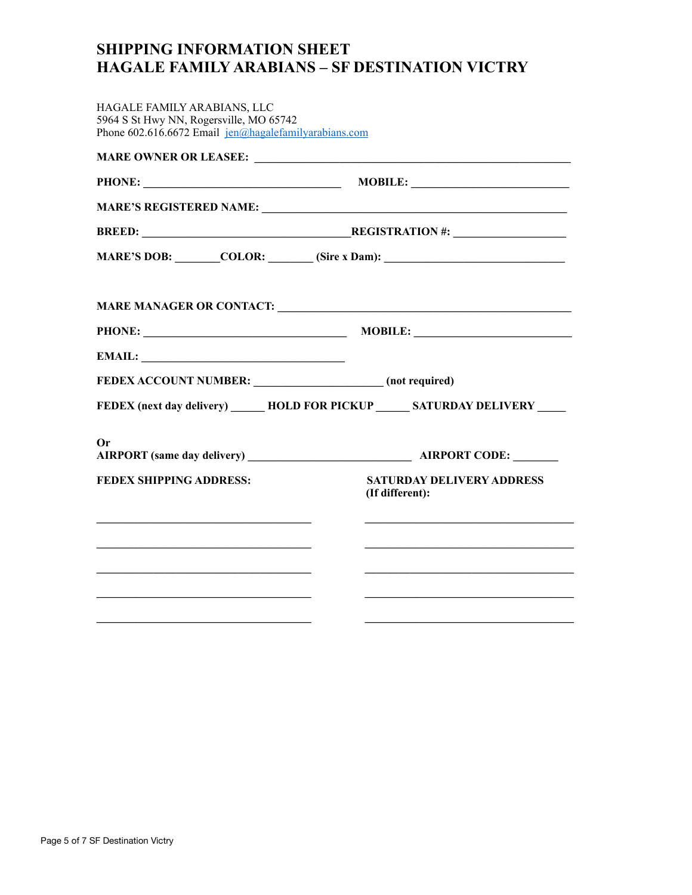# **SHIPPING INFORMATION SHEET HAGALE FAMILY ARABIANS – SF DESTINATION VICTRY**

| HAGALE FAMILY ARABIANS, LLC<br>5964 S St Hwy NN, Rogersville, MO 65742<br>Phone 602.616.6672 Email $jen(\alpha)$ hagale family arabians.com |                                                                                   |  |  |
|---------------------------------------------------------------------------------------------------------------------------------------------|-----------------------------------------------------------------------------------|--|--|
|                                                                                                                                             |                                                                                   |  |  |
|                                                                                                                                             |                                                                                   |  |  |
|                                                                                                                                             |                                                                                   |  |  |
|                                                                                                                                             | <b>BREED:</b> REGISTRATION #:                                                     |  |  |
|                                                                                                                                             | MARE'S DOB: _______COLOR: _______ (Sire x Dam): _________________________________ |  |  |
|                                                                                                                                             |                                                                                   |  |  |
|                                                                                                                                             |                                                                                   |  |  |
|                                                                                                                                             |                                                                                   |  |  |
| EMAIL:                                                                                                                                      |                                                                                   |  |  |
| FEDEX ACCOUNT NUMBER: ________________________ (not required)                                                                               |                                                                                   |  |  |
|                                                                                                                                             | FEDEX (next day delivery) _______ HOLD FOR PICKUP _______ SATURDAY DELIVERY _____ |  |  |
| Or                                                                                                                                          |                                                                                   |  |  |
|                                                                                                                                             |                                                                                   |  |  |
| <b>FEDEX SHIPPING ADDRESS:</b>                                                                                                              | <b>SATURDAY DELIVERY ADDRESS</b><br>(If different):                               |  |  |
|                                                                                                                                             |                                                                                   |  |  |
|                                                                                                                                             |                                                                                   |  |  |
|                                                                                                                                             |                                                                                   |  |  |
|                                                                                                                                             |                                                                                   |  |  |
|                                                                                                                                             |                                                                                   |  |  |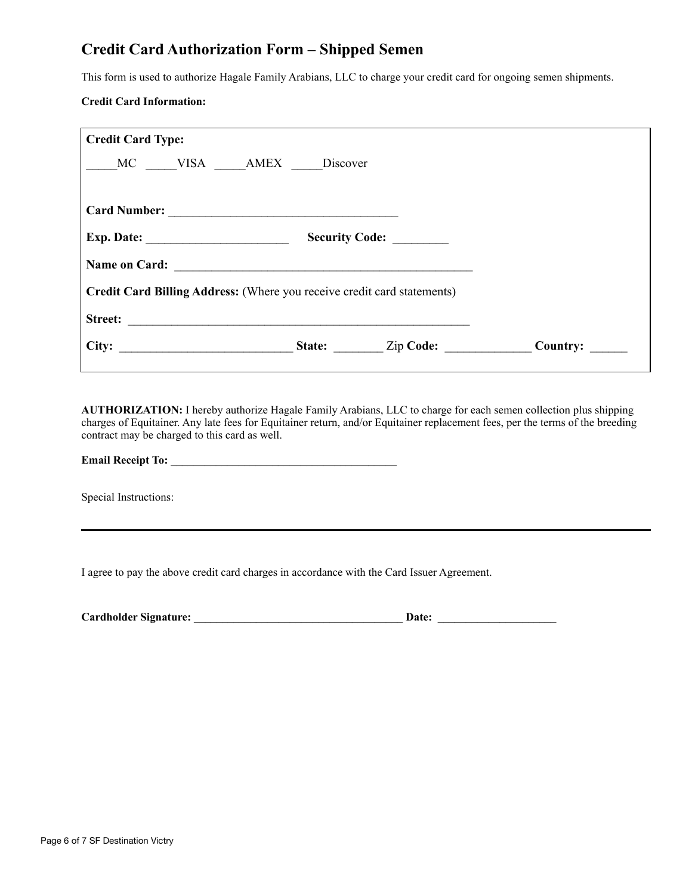# **Credit Card Authorization Form – Shipped Semen**

This form is used to authorize Hagale Family Arabians, LLC to charge your credit card for ongoing semen shipments.

### **Credit Card Information:**

| <b>Credit Card Type:</b>                                                                                                                |                |                         |                 |
|-----------------------------------------------------------------------------------------------------------------------------------------|----------------|-------------------------|-----------------|
| MC VISA AMEX Discover                                                                                                                   |                |                         |                 |
|                                                                                                                                         |                |                         |                 |
|                                                                                                                                         |                |                         |                 |
| Exp. Date: $\_\_$                                                                                                                       | Security Code: |                         |                 |
| Name on Card:                                                                                                                           |                |                         |                 |
| Credit Card Billing Address: (Where you receive credit card statements)                                                                 |                |                         |                 |
| <b>Street:</b><br><u>and the state of the state of the state of the state of the state of the state of the state of the state of th</u> |                |                         |                 |
|                                                                                                                                         |                | <b>State:</b> Zip Code: | <b>Country:</b> |

**AUTHORIZATION:** I hereby authorize Hagale Family Arabians, LLC to charge for each semen collection plus shipping charges of Equitainer. Any late fees for Equitainer return, and/or Equitainer replacement fees, per the terms of the breeding contract may be charged to this card as well.

# **Email Receipt To:** \_\_\_\_\_\_\_\_\_\_\_\_\_\_\_\_\_\_\_\_\_\_\_\_\_\_\_\_\_\_\_\_\_\_\_\_\_\_\_\_

Special Instructions:

I agree to pay the above credit card charges in accordance with the Card Issuer Agreement.

| <b>Cardholder Signature:</b> | Date: |  |
|------------------------------|-------|--|
|                              |       |  |